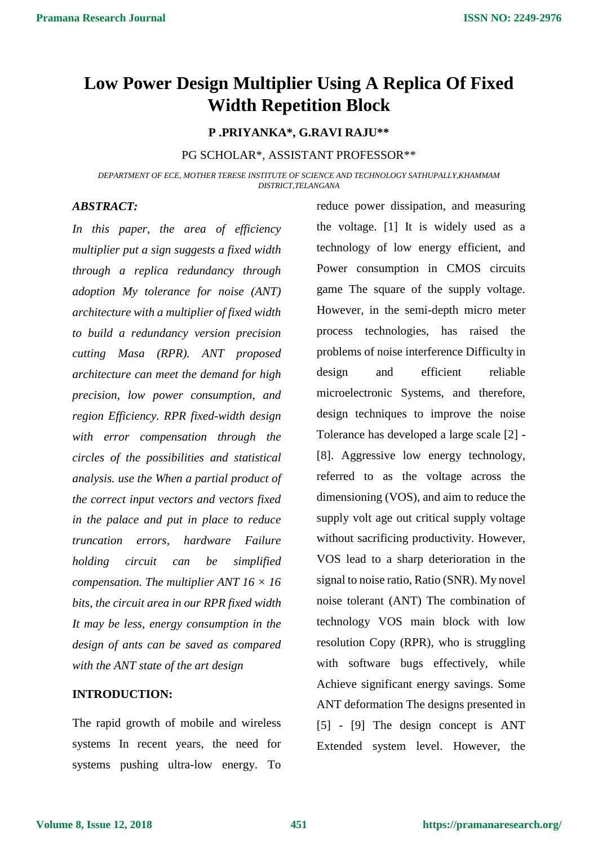# **Low Power Design Multiplier Using A Replica Of Fixed Width Repetition Block**

## **P .PRIYANKA\*, G.RAVI RAJU\*\***

#### PG SCHOLAR\*, ASSISTANT PROFESSOR\*\*

*DEPARTMENT OF ECE, MOTHER TERESE INSTITUTE OF SCIENCE AND TECHNOLOGY SATHUPALLY,KHAMMAM DISTRICT,TELANGANA*

#### *ABSTRACT:*

*In this paper, the area of efficiency multiplier put a sign suggests a fixed width through a replica redundancy through adoption My tolerance for noise (ANT) architecture with a multiplier of fixed width to build a redundancy version precision cutting Masa (RPR). ANT proposed architecture can meet the demand for high precision, low power consumption, and region Efficiency. RPR fixed-width design with error compensation through the circles of the possibilities and statistical analysis. use the When a partial product of the correct input vectors and vectors fixed in the palace and put in place to reduce truncation errors, hardware Failure holding circuit can be simplified compensation. The multiplier ANT 16 × 16 bits, the circuit area in our RPR fixed width It may be less, energy consumption in the design of ants can be saved as compared with the ANT state of the art design*

#### **INTRODUCTION:**

The rapid growth of mobile and wireless systems In recent years, the need for systems pushing ultra-low energy. To

reduce power dissipation, and measuring the voltage. [1] It is widely used as a technology of low energy efficient, and Power consumption in CMOS circuits game The square of the supply voltage. However, in the semi-depth micro meter process technologies, has raised the problems of noise interference Difficulty in design and efficient reliable microelectronic Systems, and therefore, design techniques to improve the noise Tolerance has developed a large scale [2] - [8]. Aggressive low energy technology, referred to as the voltage across the dimensioning (VOS), and aim to reduce the supply volt age out critical supply voltage without sacrificing productivity. However, VOS lead to a sharp deterioration in the signal to noise ratio, Ratio (SNR). My novel noise tolerant (ANT) The combination of technology VOS main block with low resolution Copy (RPR), who is struggling with software bugs effectively, while Achieve significant energy savings. Some ANT deformation The designs presented in [5] - [9] The design concept is ANT Extended system level. However, the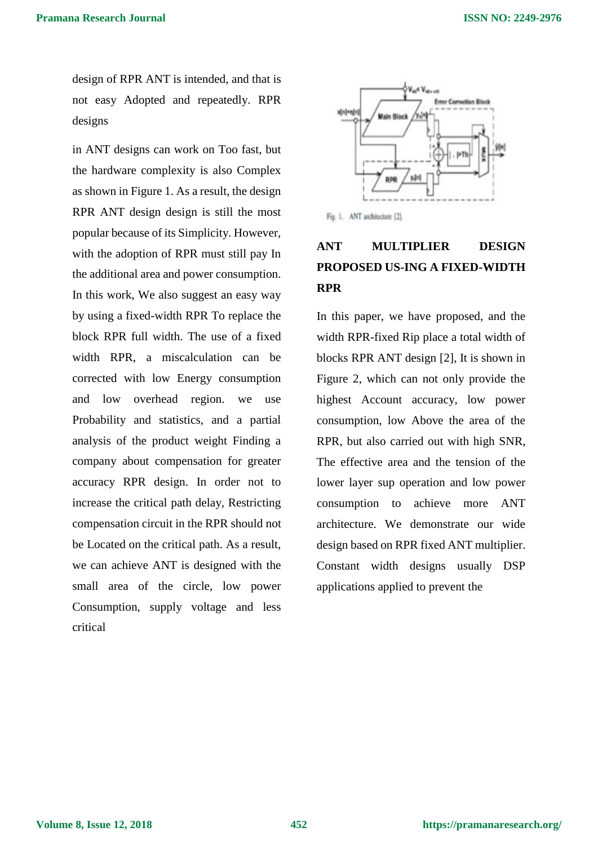design of RPR ANT is intended, and that is not easy Adopted and repeatedly. RPR designs

in ANT designs can work on Too fast, but the hardware complexity is also Complex as shown in Figure 1. As a result, the design RPR ANT design design is still the most popular because of its Simplicity. However, with the adoption of RPR must still pay In the additional area and power consumption. In this work, We also suggest an easy way by using a fixed-width RPR To replace the block RPR full width. The use of a fixed width RPR, a miscalculation can be corrected with low Energy consumption and low overhead region. we use Probability and statistics, and a partial analysis of the product weight Finding a company about compensation for greater accuracy RPR design. In order not to increase the critical path delay, Restricting compensation circuit in the RPR should not be Located on the critical path. As a result, we can achieve ANT is designed with the small area of the circle, low power Consumption, supply voltage and less critical



Fig. 1. ANT architecture [2].

## **ANT MULTIPLIER DESIGN PROPOSED US-ING A FIXED-WIDTH RPR**

In this paper, we have proposed, and the width RPR-fixed Rip place a total width of blocks RPR ANT design [2], It is shown in Figure 2, which can not only provide the highest Account accuracy, low power consumption, low Above the area of the RPR, but also carried out with high SNR, The effective area and the tension of the lower layer sup operation and low power consumption to achieve more ANT architecture. We demonstrate our wide design based on RPR fixed ANT multiplier. Constant width designs usually DSP applications applied to prevent the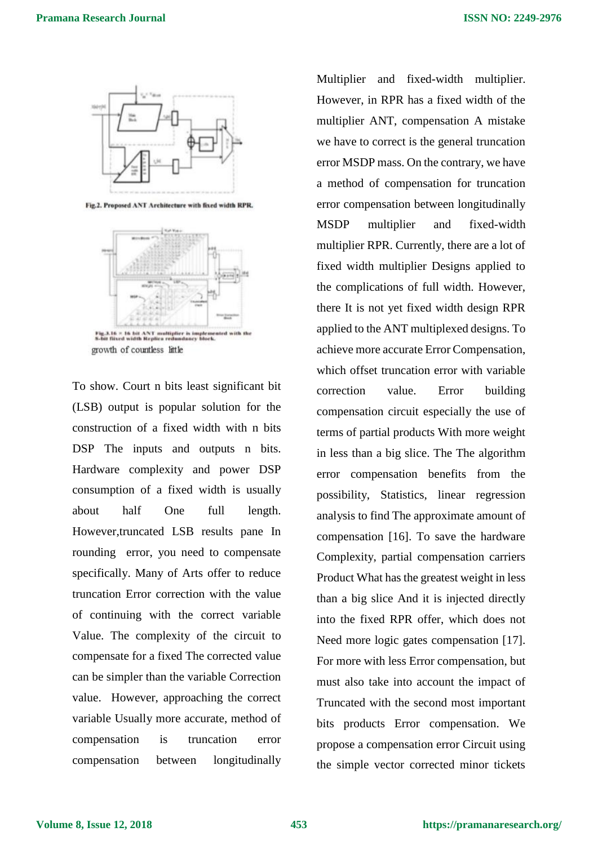

Fig.2. Proposed ANT Architecture with fixed width RPR.



growth of countless little

To show. Court n bits least significant bit (LSB) output is popular solution for the construction of a fixed width with n bits DSP The inputs and outputs n bits. Hardware complexity and power DSP consumption of a fixed width is usually about half One full length. However,truncated LSB results pane In rounding error, you need to compensate specifically. Many of Arts offer to reduce truncation Error correction with the value of continuing with the correct variable Value. The complexity of the circuit to compensate for a fixed The corrected value can be simpler than the variable Correction value. However, approaching the correct variable Usually more accurate, method of compensation is truncation error compensation between longitudinally Multiplier and fixed-width multiplier. However, in RPR has a fixed width of the multiplier ANT, compensation A mistake we have to correct is the general truncation error MSDP mass. On the contrary, we have a method of compensation for truncation error compensation between longitudinally MSDP multiplier and fixed-width multiplier RPR. Currently, there are a lot of fixed width multiplier Designs applied to the complications of full width. However, there It is not yet fixed width design RPR applied to the ANT multiplexed designs. To achieve more accurate Error Compensation, which offset truncation error with variable correction value. Error building compensation circuit especially the use of terms of partial products With more weight in less than a big slice. The The algorithm error compensation benefits from the possibility, Statistics, linear regression analysis to find The approximate amount of compensation [16]. To save the hardware Complexity, partial compensation carriers Product What has the greatest weight in less than a big slice And it is injected directly into the fixed RPR offer, which does not Need more logic gates compensation [17]. For more with less Error compensation, but must also take into account the impact of Truncated with the second most important bits products Error compensation. We propose a compensation error Circuit using the simple vector corrected minor tickets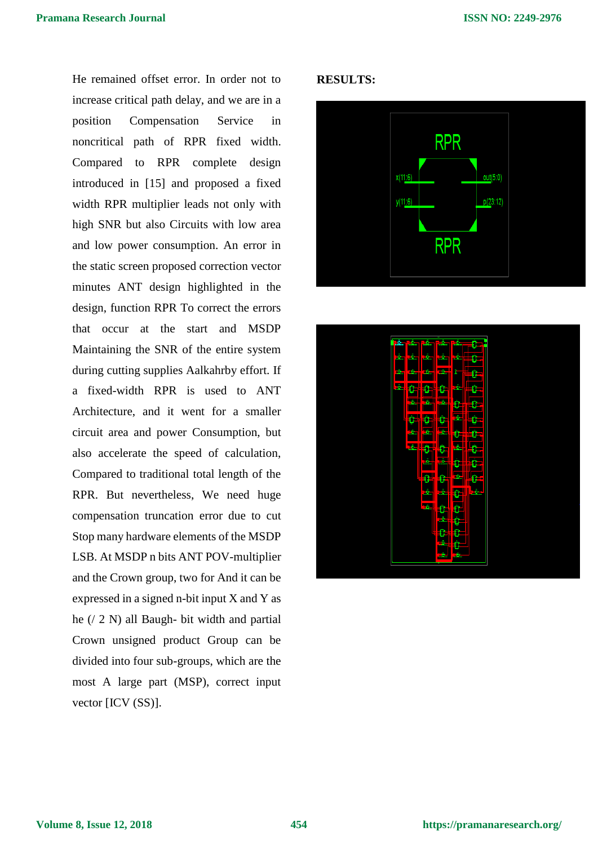He remained offset error. In order not to increase critical path delay, and we are in a position Compensation Service in noncritical path of RPR fixed width. Compared to RPR complete design introduced in [15] and proposed a fixed width RPR multiplier leads not only with high SNR but also Circuits with low area and low power consumption. An error in the static screen proposed correction vector minutes ANT design highlighted in the design, function RPR To correct the errors that occur at the start and MSDP Maintaining the SNR of the entire system during cutting supplies Aalkahrby effort. If a fixed-width RPR is used to ANT Architecture, and it went for a smaller circuit area and power Consumption, but also accelerate the speed of calculation, Compared to traditional total length of the RPR. But nevertheless, We need huge compensation truncation error due to cut Stop many hardware elements of the MSDP LSB. At MSDP n bits ANT POV-multiplier and the Crown group, two for And it can be expressed in a signed n-bit input X and Y as he (/ 2 N) all Baugh- bit width and partial Crown unsigned product Group can be divided into four sub-groups, which are the most A large part (MSP), correct input vector [ICV (SS)].

#### **RESULTS:**



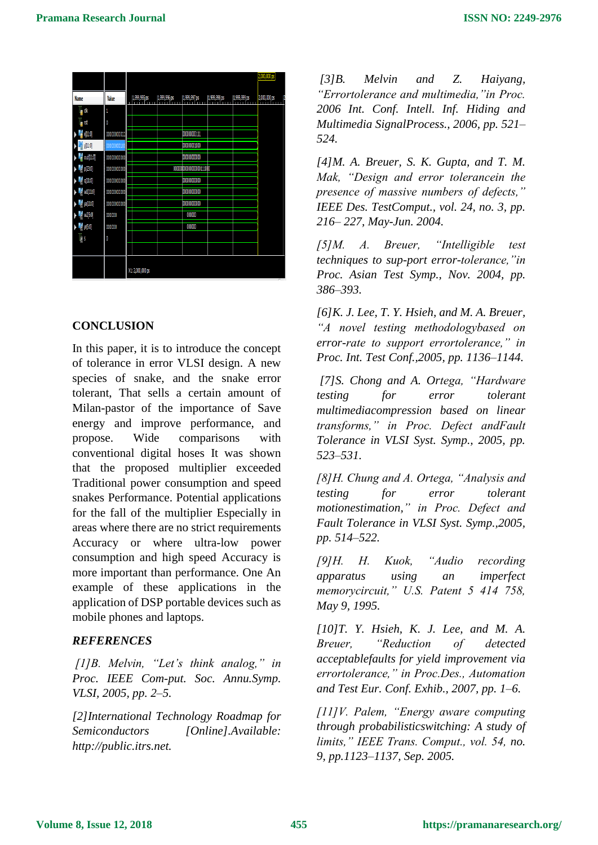|                                                  |             |                                                                              | 2,000,000 ps |
|--------------------------------------------------|-------------|------------------------------------------------------------------------------|--------------|
| Name                                             | Value       | 1,999,995 ps<br>1,999,996 ps<br>1,999,997 ps<br>1,999,998 ps<br>1,999,999 ps | 2,000,000 ps |
| l <sub>a</sub> di                                | 1           |                                                                              |              |
| l <sub>i</sub> nst                               | O           |                                                                              |              |
| $\frac{1}{1}$ x[110]                             | 00000000011 | 000000000111                                                                 |              |
| $\frac{1}{11}$ y[11:0]                           |             | 000000001000                                                                 |              |
| $\frac{14}{9}$ out[11:0]                         | 00000000000 | 00000000000                                                                  |              |
| $\sqrt{180}$                                     | 00000000000 | 000000000000000000111000                                                     |              |
| $\blacksquare$                                   | 00000000000 | 00000000000                                                                  |              |
| $\blacktriangleright$ $\blacksquare$ will $11.0$ | 00000000000 | 00000000000                                                                  |              |
| $\frac{1}{2}$ ya[11:0]                           | 0000000000  | 00000000000                                                                  |              |
| $\frac{1}{6}$ w2[5:0]                            | 000000      | 000000                                                                       |              |
| $\frac{1}{2}$ y(5.0)                             | 000000      | 000000                                                                       |              |
| IJ,                                              | Ö           |                                                                              |              |
|                                                  |             |                                                                              |              |
|                                                  |             | X1: 2,000,000 ps                                                             |              |

## **CONCLUSION**

In this paper, it is to introduce the concept of tolerance in error VLSI design. A new species of snake, and the snake error tolerant, That sells a certain amount of Milan-pastor of the importance of Save energy and improve performance, and propose. Wide comparisons with conventional digital hoses It was shown that the proposed multiplier exceeded Traditional power consumption and speed snakes Performance. Potential applications for the fall of the multiplier Especially in areas where there are no strict requirements Accuracy or where ultra-low power consumption and high speed Accuracy is more important than performance. One An example of these applications in the application of DSP portable devices such as mobile phones and laptops.

## *REFERENCES*

*[1]B. Melvin, "Let's think analog," in Proc. IEEE Com-put. Soc. Annu.Symp. VLSI, 2005, pp. 2–5.* 

*[2]International Technology Roadmap for Semiconductors [Online].Available: http://public.itrs.net.* 

*[3]B. Melvin and Z. Haiyang, "Errortolerance and multimedia,"in Proc. 2006 Int. Conf. Intell. Inf. Hiding and Multimedia SignalProcess., 2006, pp. 521– 524.* 

*[4]M. A. Breuer, S. K. Gupta, and T. M. Mak, "Design and error tolerancein the presence of massive numbers of defects," IEEE Des. TestComput., vol. 24, no. 3, pp. 216– 227, May-Jun. 2004.* 

*[5]M. A. Breuer, "Intelligible test techniques to sup-port error-tolerance,"in Proc. Asian Test Symp., Nov. 2004, pp. 386–393.* 

*[6]K. J. Lee, T. Y. Hsieh, and M. A. Breuer, "A novel testing methodologybased on error-rate to support errortolerance," in Proc. Int. Test Conf.,2005, pp. 1136–1144.* 

*[7]S. Chong and A. Ortega, "Hardware testing for error tolerant multimediacompression based on linear transforms," in Proc. Defect andFault Tolerance in VLSI Syst. Symp., 2005, pp. 523–531.* 

*[8]H. Chung and A. Ortega, "Analysis and testing for error tolerant motionestimation," in Proc. Defect and Fault Tolerance in VLSI Syst. Symp.,2005, pp. 514–522.* 

*[9]H. H. Kuok, "Audio recording apparatus using an imperfect memorycircuit," U.S. Patent 5 414 758, May 9, 1995.* 

*[10]T. Y. Hsieh, K. J. Lee, and M. A. Breuer, "Reduction of detected acceptablefaults for yield improvement via errortolerance," in Proc.Des., Automation and Test Eur. Conf. Exhib., 2007, pp. 1–6.* 

*[11]V. Palem, "Energy aware computing through probabilisticswitching: A study of limits," IEEE Trans. Comput., vol. 54, no. 9, pp.1123–1137, Sep. 2005.*